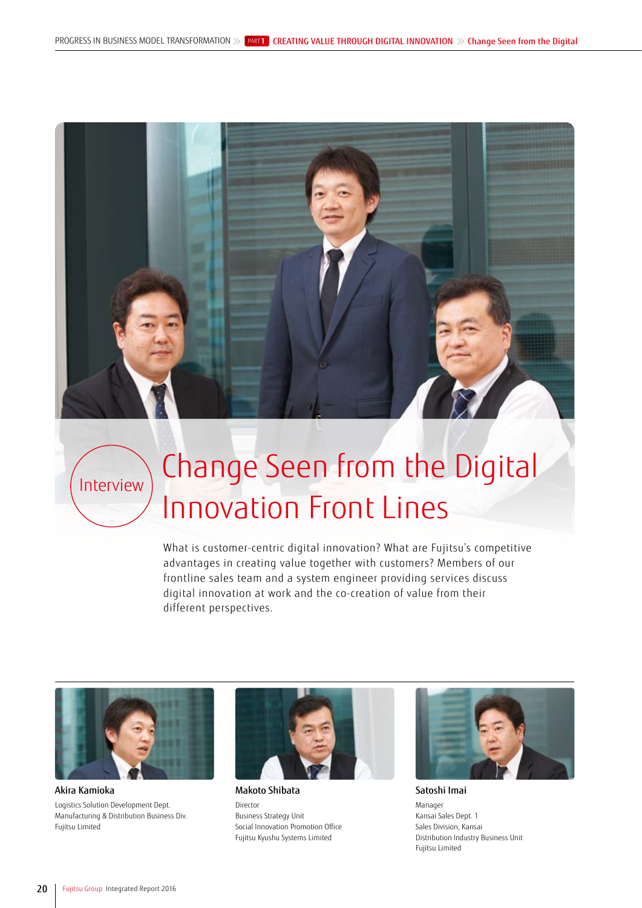

# $\text{I}_{\text{Interview}}$  Change Seen from the Digital Innovation Front Lines

What is customer-centric digital innovation? What are Fujitsu's competitive advantages in creating value together with customers? Members of our frontline sales team and a system engineer providing services discuss digital innovation at work and the co-creation of value from their different perspectives.



Akira Kamioka Logistics Solution Development Dept. Manufacturing & Distribution Business Div. Fujitsu Limited



Makoto Shibata Director Business Strategy Unit Social Innovation Promotion Office Fujitsu Kyushu Systems Limited



Satoshi Imai

Manager Kansai Sales Dept. 1 Sales Division, Kansai Distribution Industry Business Unit Fujitsu Limited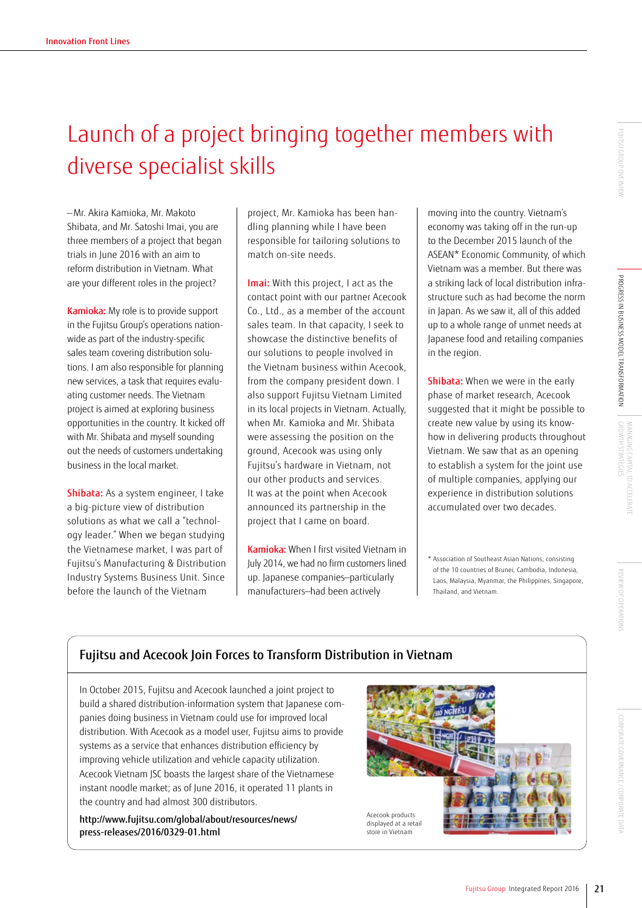### Launch of a project bringing together members with diverse specialist skills

— Mr. Akira Kamioka, Mr. Makoto Shibata, and Mr. Satoshi Imai, you are three members of a project that began trials in June 2016 with an aim to reform distribution in Vietnam. What are your different roles in the project?

Kamioka: My role is to provide support in the Fujitsu Group's operations nationwide as part of the industry-specific sales team covering distribution solutions. I am also responsible for planning new services, a task that requires evaluating customer needs. The Vietnam project is aimed at exploring business opportunities in the country. It kicked off with Mr. Shibata and myself sounding out the needs of customers undertaking business in the local market.

Shibata: As a system engineer, I take a big-picture view of distribution solutions as what we call a "technology leader." When we began studying the Vietnamese market, I was part of Fujitsu's Manufacturing & Distribution Industry Systems Business Unit. Since before the launch of the Vietnam

project, Mr. Kamioka has been handling planning while I have been responsible for tailoring solutions to match on-site needs.

Imai: With this project, I act as the contact point with our partner Acecook Co., Ltd., as a member of the account sales team. In that capacity, I seek to showcase the distinctive benefits of our solutions to people involved in the Vietnam business within Acecook, from the company president down. I also support Fujitsu Vietnam Limited in its local projects in Vietnam. Actually, when Mr. Kamioka and Mr. Shibata were assessing the position on the ground, Acecook was using only Fujitsu's hardware in Vietnam, not our other products and services. It was at the point when Acecook announced its partnership in the project that I came on board.

Kamioka: When I first visited Vietnam in July 2014, we had no firm customers lined up. Japanese companies—particularly manufacturers—had been actively

moving into the country. Vietnam's economy was taking off in the run-up to the December 2015 launch of the ASEAN\* Economic Community, of which Vietnam was a member. But there was a striking lack of local distribution infrastructure such as had become the norm in Japan. As we saw it, all of this added up to a whole range of unmet needs at Japanese food and retailing companies in the region.

Shibata: When we were in the early phase of market research, Acecook suggested that it might be possible to create new value by using its knowhow in delivering products throughout Vietnam. We saw that as an opening to establish a system for the joint use of multiple companies, applying our experience in distribution solutions accumulated over two decades.

\* Association of Southeast Asian Nations, consisting of the 10 countries of Brunei, Cambodia, Indonesia, Laos, Malaysia, Myanmar, the Philippines, Singapore, Thailand, and Vietnam.

#### Fujitsu and Acecook Join Forces to Transform Distribution in Vietnam

In October 2015, Fujitsu and Acecook launched a joint project to build a shared distribution-information system that Japanese companies doing business in Vietnam could use for improved local distribution. With Acecook as a model user, Fujitsu aims to provide systems as a service that enhances distribution efficiency by improving vehicle utilization and vehicle capacity utilization. Acecook Vietnam JSC boasts the largest share of the Vietnamese instant noodle market; as of June 2016, it operated 11 plants in the country and had almost 300 distributors.

http://www.fujitsu.com/global/about/resources/news/ press-releases/2016/0329-01.html

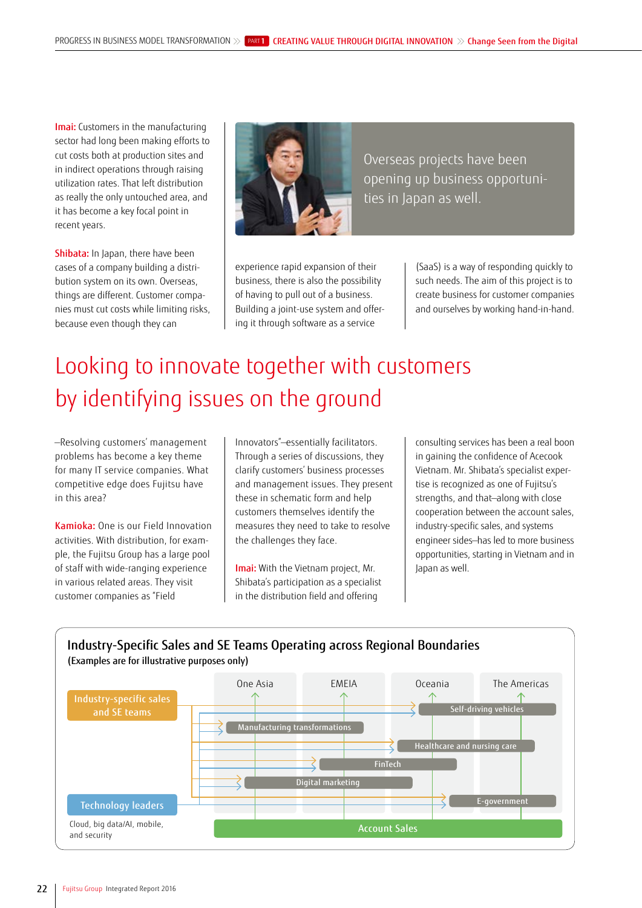Imai: Customers in the manufacturing sector had long been making efforts to cut costs both at production sites and in indirect operations through raising utilization rates. That left distribution as really the only untouched area, and it has become a key focal point in recent years.

Shibata: In Japan, there have been cases of a company building a distribution system on its own. Overseas, things are different. Customer companies must cut costs while limiting risks, because even though they can



Overseas projects have been opening up business opportunities in Japan as well.

experience rapid expansion of their business, there is also the possibility of having to pull out of a business. Building a joint-use system and offering it through software as a service

(SaaS) is a way of responding quickly to such needs. The aim of this project is to create business for customer companies and ourselves by working hand-in-hand.

## Looking to innovate together with customers by identifying issues on the ground

—Resolving customers' management problems has become a key theme for many IT service companies. What competitive edge does Fujitsu have in this area?

Kamioka: One is our Field Innovation activities. With distribution, for example, the Fujitsu Group has a large pool of staff with wide-ranging experience in various related areas. They visit customer companies as "Field

Innovators"—essentially facilitators. Through a series of discussions, they clarify customers' business processes and management issues. They present these in schematic form and help customers themselves identify the measures they need to take to resolve the challenges they face.

Imai: With the Vietnam project, Mr. Shibata's participation as a specialist in the distribution field and offering

consulting services has been a real boon in gaining the confidence of Acecook Vietnam. Mr. Shibata's specialist expertise is recognized as one of Fujitsu's strengths, and that—along with close cooperation between the account sales, industry-specific sales, and systems engineer sides—has led to more business opportunities, starting in Vietnam and in Japan as well.

#### Industry-Specific Sales and SE Teams Operating across Regional Boundaries (Examples are for illustrative purposes only)